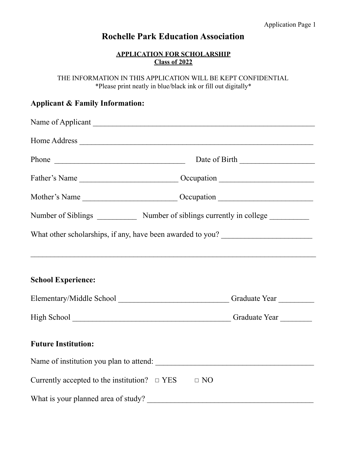# **Rochelle Park Education Association**

## **APPLICATION FOR SCHOLARSHIP Class of 2022**

THE INFORMATION IN THIS APPLICATION WILL BE KEPT CONFIDENTIAL \*Please print neatly in blue/black ink or fill out digitally\*

## **Applicant & Family Information:**

| Number of Siblings _______________ Number of siblings currently in college __________ |                                                                                  |  |  |  |
|---------------------------------------------------------------------------------------|----------------------------------------------------------------------------------|--|--|--|
|                                                                                       | What other scholarships, if any, have been awarded to you?                       |  |  |  |
|                                                                                       |                                                                                  |  |  |  |
|                                                                                       |                                                                                  |  |  |  |
| <b>School Experience:</b>                                                             |                                                                                  |  |  |  |
|                                                                                       | Elementary/Middle School _____________________________Graduate Year ____________ |  |  |  |
|                                                                                       |                                                                                  |  |  |  |
| <b>Future Institution:</b>                                                            |                                                                                  |  |  |  |
|                                                                                       | Name of institution you plan to attend:                                          |  |  |  |
| Currently accepted to the institution? $\Box$ YES                                     | $\Box$ NO                                                                        |  |  |  |
| What is your planned area of study?                                                   |                                                                                  |  |  |  |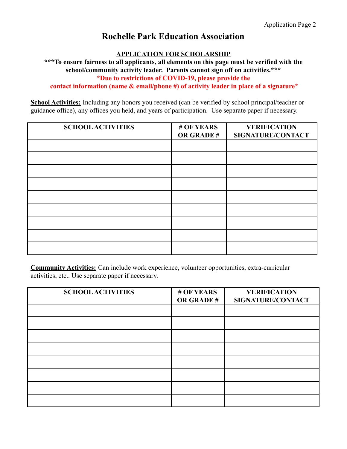# **Rochelle Park Education Association**

### **APPLICATION FOR SCHOLARSHIP**

**\*\*\*To ensure fairness to all applicants, all elements on this page must be verified with the school/community activity leader. Parents cannot sign off on activities.\*\*\* \*Due to restrictions of COVID-19, please provide the**

**contact informatio**n **(name & email/phone #) of activity leader in place of a signature\***

**School Activities:** Including any honors you received (can be verified by school principal/teacher or guidance office), any offices you held, and years of participation. Use separate paper if necessary.

| <b>SCHOOL ACTIVITIES</b> | # OF YEARS<br>OR GRADE # | <b>VERIFICATION</b><br>SIGNATURE/CONTACT |
|--------------------------|--------------------------|------------------------------------------|
|                          |                          |                                          |
|                          |                          |                                          |
|                          |                          |                                          |
|                          |                          |                                          |
|                          |                          |                                          |
|                          |                          |                                          |
|                          |                          |                                          |
|                          |                          |                                          |
|                          |                          |                                          |

**Community Activities:** Can include work experience, volunteer opportunities, extra-curricular activities, etc.. Use separate paper if necessary.

| <b>SCHOOL ACTIVITIES</b> | # OF YEARS<br><b>OR GRADE#</b> | <b>VERIFICATION</b><br>SIGNATURE/CONTACT |
|--------------------------|--------------------------------|------------------------------------------|
|                          |                                |                                          |
|                          |                                |                                          |
|                          |                                |                                          |
|                          |                                |                                          |
|                          |                                |                                          |
|                          |                                |                                          |
|                          |                                |                                          |
|                          |                                |                                          |